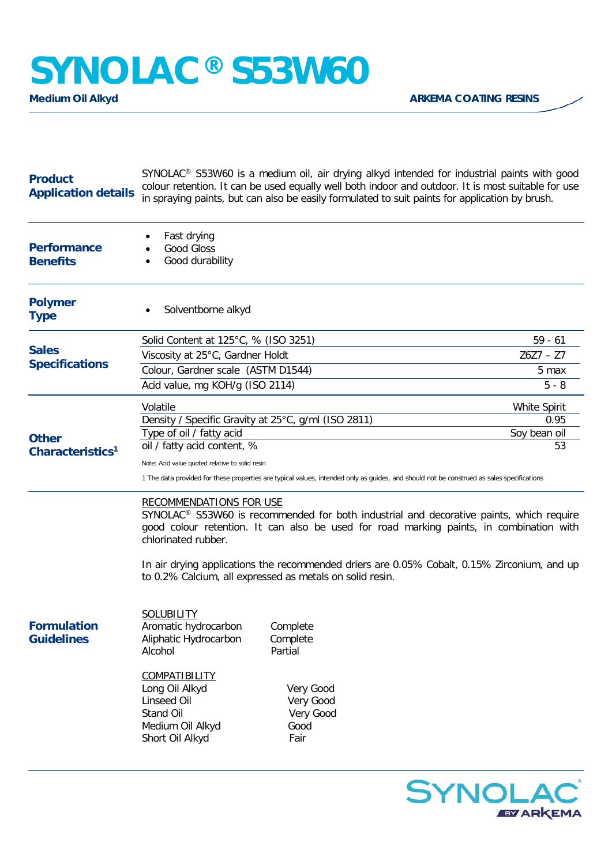## **SYNOLAC® S53W60**

| <b>Product</b><br><b>Application details</b> | SYNOLAC <sup>®</sup> S53W60 is a medium oil, air drying alkyd intended for industrial paints with good<br>colour retention. It can be used equally well both indoor and outdoor. It is most suitable for use<br>in spraying paints, but can also be easily formulated to suit paints for application by brush.                                                                                                     |                                                                                        |                      |  |
|----------------------------------------------|--------------------------------------------------------------------------------------------------------------------------------------------------------------------------------------------------------------------------------------------------------------------------------------------------------------------------------------------------------------------------------------------------------------------|----------------------------------------------------------------------------------------|----------------------|--|
| <b>Performance</b><br><b>Benefits</b>        | Fast drying<br><b>Good Gloss</b><br>Good durability                                                                                                                                                                                                                                                                                                                                                                |                                                                                        |                      |  |
| <b>Polymer</b><br><b>Type</b>                | Solventborne alkyd                                                                                                                                                                                                                                                                                                                                                                                                 |                                                                                        |                      |  |
| <b>Sales</b><br><b>Specifications</b>        | Solid Content at 125°C, % (ISO 3251)                                                                                                                                                                                                                                                                                                                                                                               | $59 - 61$                                                                              |                      |  |
|                                              | Viscosity at 25°C, Gardner Holdt                                                                                                                                                                                                                                                                                                                                                                                   |                                                                                        | $Z6Z7 - Z7$          |  |
|                                              | Colour, Gardner scale (ASTM D1544)                                                                                                                                                                                                                                                                                                                                                                                 |                                                                                        | 5 max                |  |
|                                              | Acid value, mg KOH/g (ISO 2114)                                                                                                                                                                                                                                                                                                                                                                                    |                                                                                        | $5 - 8$              |  |
| <b>Other</b><br>Characteristics <sup>1</sup> | Volatile                                                                                                                                                                                                                                                                                                                                                                                                           |                                                                                        | White Spirit         |  |
|                                              | Density / Specific Gravity at 25°C, g/ml (ISO 2811)<br>Type of oil / fatty acid                                                                                                                                                                                                                                                                                                                                    |                                                                                        | 0.95<br>Soy bean oil |  |
|                                              | oil / fatty acid content, %                                                                                                                                                                                                                                                                                                                                                                                        |                                                                                        | 53                   |  |
|                                              | Note: Acid value quoted relative to solid resin                                                                                                                                                                                                                                                                                                                                                                    |                                                                                        |                      |  |
|                                              | 1 The data provided for these properties are typical values, intended only as guides, and should not be construed as sales specifications                                                                                                                                                                                                                                                                          |                                                                                        |                      |  |
|                                              | <b>RECOMMENDATIONS FOR USE</b><br>SYNOLAC <sup>®</sup> S53W60 is recommended for both industrial and decorative paints, which require<br>good colour retention. It can also be used for road marking paints, in combination with<br>chlorinated rubber.<br>In air drying applications the recommended driers are 0.05% Cobalt, 0.15% Zirconium, and up<br>to 0.2% Calcium, all expressed as metals on solid resin. |                                                                                        |                      |  |
| <b>Formulation</b><br><b>Guidelines</b>      | <b>SOLUBILITY</b><br>Aromatic hydrocarbon<br>Aliphatic Hydrocarbon<br>Alcohol<br><u>COMPATIBILITY</u><br>Long Oil Alkyd<br><b>Linseed Oil</b><br>Stand Oil<br>Medium Oil Alkyd<br>Short Oil Alkyd                                                                                                                                                                                                                  | Complete<br>Complete<br>Partial<br>Very Good<br>Very Good<br>Very Good<br>Good<br>Fair |                      |  |